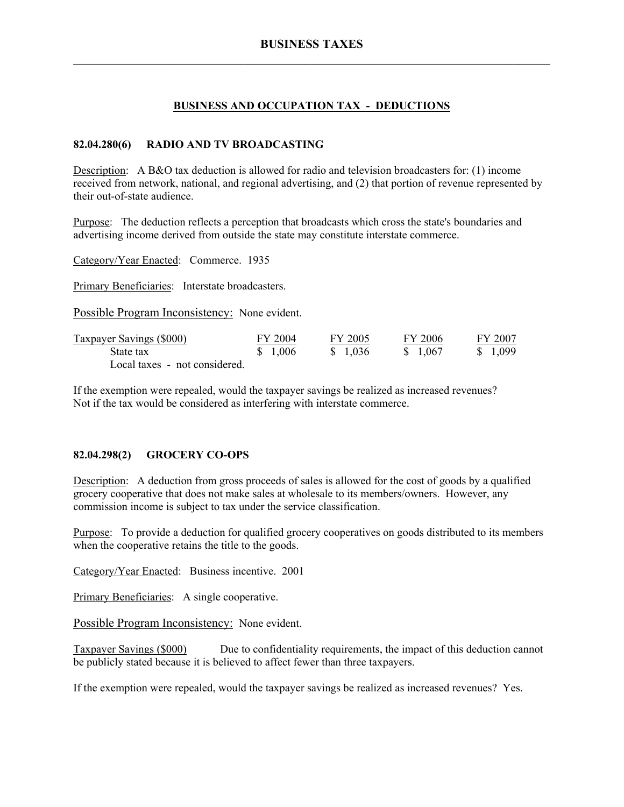### **BUSINESS AND OCCUPATION TAX - DEDUCTIONS**

#### **82.04.280(6) RADIO AND TV BROADCASTING**

Description: A B&O tax deduction is allowed for radio and television broadcasters for: (1) income received from network, national, and regional advertising, and (2) that portion of revenue represented by their out-of-state audience.

Purpose: The deduction reflects a perception that broadcasts which cross the state's boundaries and advertising income derived from outside the state may constitute interstate commerce.

Category/Year Enacted: Commerce. 1935

Primary Beneficiaries: Interstate broadcasters.

Possible Program Inconsistency: None evident.

| <b>Taxpayer Savings (\$000)</b> | FY 2004  | FY 2005  | FY 2006  | FY 2007  |
|---------------------------------|----------|----------|----------|----------|
| State tax                       | \$ 1,006 | \$ 1.036 | \$ 1.067 | \$ 1,099 |
| Local taxes - not considered.   |          |          |          |          |

If the exemption were repealed, would the taxpayer savings be realized as increased revenues? Not if the tax would be considered as interfering with interstate commerce.

#### **82.04.298(2) GROCERY CO-OPS**

Description: A deduction from gross proceeds of sales is allowed for the cost of goods by a qualified grocery cooperative that does not make sales at wholesale to its members/owners. However, any commission income is subject to tax under the service classification.

Purpose: To provide a deduction for qualified grocery cooperatives on goods distributed to its members when the cooperative retains the title to the goods.

Category/Year Enacted: Business incentive. 2001

Primary Beneficiaries: A single cooperative.

Possible Program Inconsistency: None evident.

Taxpayer Savings (\$000) Due to confidentiality requirements, the impact of this deduction cannot be publicly stated because it is believed to affect fewer than three taxpayers.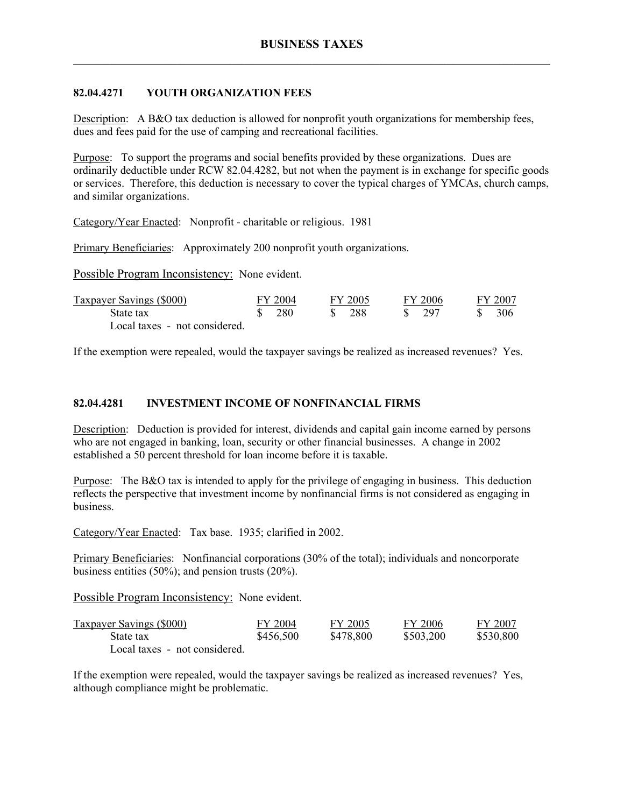## **82.04.4271 YOUTH ORGANIZATION FEES**

Description: A B&O tax deduction is allowed for nonprofit youth organizations for membership fees, dues and fees paid for the use of camping and recreational facilities.

Purpose: To support the programs and social benefits provided by these organizations. Dues are ordinarily deductible under RCW 82.04.4282, but not when the payment is in exchange for specific goods or services. Therefore, this deduction is necessary to cover the typical charges of YMCAs, church camps, and similar organizations.

Category/Year Enacted: Nonprofit - charitable or religious. 1981

Primary Beneficiaries: Approximately 200 nonprofit youth organizations.

Possible Program Inconsistency: None evident.

| Taxpayer Savings (\$000)      | FY 2004 | FY 2005 | FY 2006 | FY 2007 |
|-------------------------------|---------|---------|---------|---------|
| State tax                     | 280     | -288    | - 297   | 306     |
| Local taxes - not considered. |         |         |         |         |

If the exemption were repealed, would the taxpayer savings be realized as increased revenues? Yes.

#### **82.04.4281 INVESTMENT INCOME OF NONFINANCIAL FIRMS**

Description: Deduction is provided for interest, dividends and capital gain income earned by persons who are not engaged in banking, loan, security or other financial businesses. A change in 2002 established a 50 percent threshold for loan income before it is taxable.

Purpose: The B&O tax is intended to apply for the privilege of engaging in business. This deduction reflects the perspective that investment income by nonfinancial firms is not considered as engaging in business.

Category/Year Enacted: Tax base. 1935; clarified in 2002.

Primary Beneficiaries: Nonfinancial corporations (30% of the total); individuals and noncorporate business entities (50%); and pension trusts (20%).

Possible Program Inconsistency: None evident.

| <b>Taxpayer Savings (\$000)</b> | FY 2004   | FY 2005   | FY 2006   | FY 2007   |
|---------------------------------|-----------|-----------|-----------|-----------|
| State tax                       | \$456,500 | \$478,800 | \$503,200 | \$530,800 |
| Local taxes - not considered.   |           |           |           |           |

If the exemption were repealed, would the taxpayer savings be realized as increased revenues? Yes, although compliance might be problematic.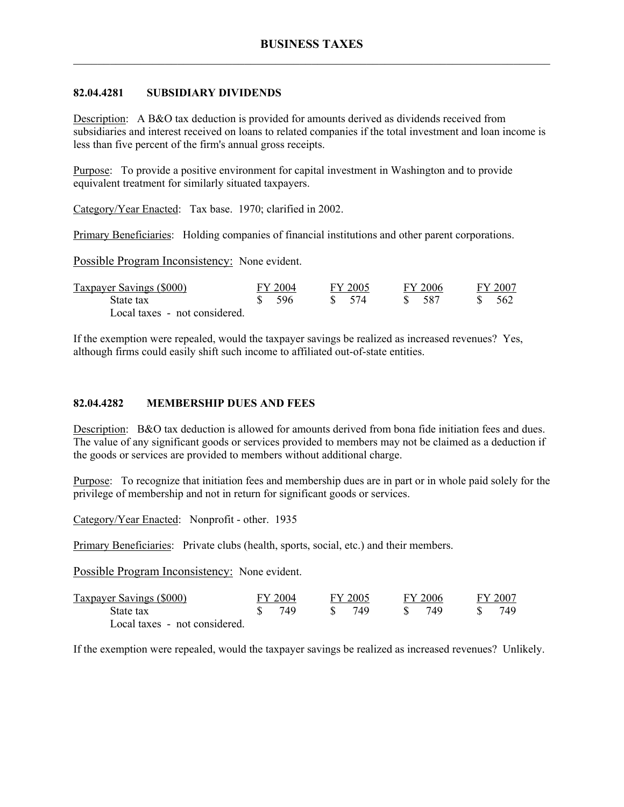### **82.04.4281 SUBSIDIARY DIVIDENDS**

Description: A B&O tax deduction is provided for amounts derived as dividends received from subsidiaries and interest received on loans to related companies if the total investment and loan income is less than five percent of the firm's annual gross receipts.

Purpose: To provide a positive environment for capital investment in Washington and to provide equivalent treatment for similarly situated taxpayers.

Category/Year Enacted: Tax base. 1970; clarified in 2002.

Primary Beneficiaries: Holding companies of financial institutions and other parent corporations.

Possible Program Inconsistency: None evident.

| Taxpayer Savings (\$000)      | FY 2004 | FY 2005           | FY 2006 | FY 2007 |
|-------------------------------|---------|-------------------|---------|---------|
| State tax                     | -596    | $\frac{1}{2}$ 574 | -587    | 562     |
| Local taxes - not considered. |         |                   |         |         |

If the exemption were repealed, would the taxpayer savings be realized as increased revenues? Yes, although firms could easily shift such income to affiliated out-of-state entities.

### **82.04.4282 MEMBERSHIP DUES AND FEES**

Description: B&O tax deduction is allowed for amounts derived from bona fide initiation fees and dues. The value of any significant goods or services provided to members may not be claimed as a deduction if the goods or services are provided to members without additional charge.

Purpose: To recognize that initiation fees and membership dues are in part or in whole paid solely for the privilege of membership and not in return for significant goods or services.

Category/Year Enacted: Nonprofit - other. 1935

Primary Beneficiaries: Private clubs (health, sports, social, etc.) and their members.

Possible Program Inconsistency: None evident.

| Taxpayer Savings (\$000)      | FY 2004 | FY 2005 | FY 2006 | FY 2007 |
|-------------------------------|---------|---------|---------|---------|
| State tax                     | 749     | 749     | -749    | 749     |
| Local taxes - not considered. |         |         |         |         |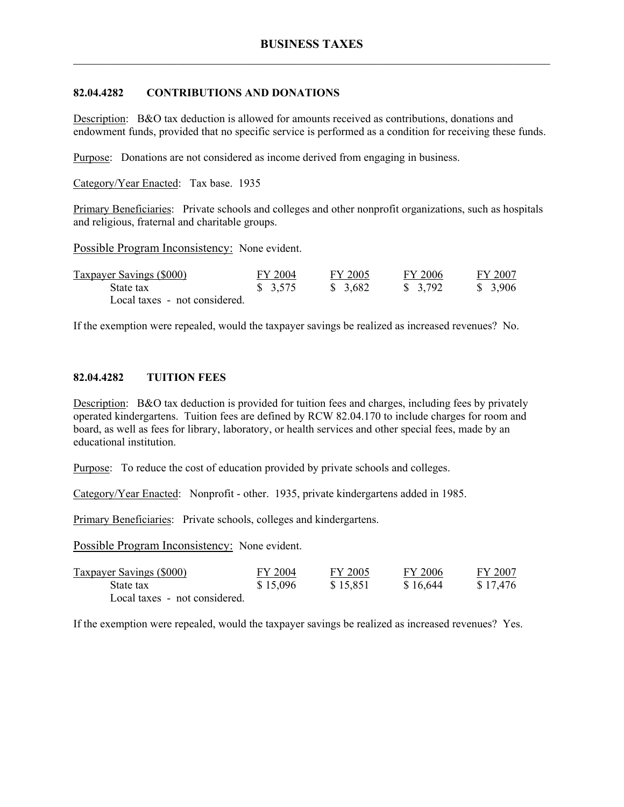### **82.04.4282 CONTRIBUTIONS AND DONATIONS**

Description: B&O tax deduction is allowed for amounts received as contributions, donations and endowment funds, provided that no specific service is performed as a condition for receiving these funds.

Purpose: Donations are not considered as income derived from engaging in business.

Category/Year Enacted: Tax base. 1935

Primary Beneficiaries: Private schools and colleges and other nonprofit organizations, such as hospitals and religious, fraternal and charitable groups.

Possible Program Inconsistency: None evident.

| <b>Taxpayer Savings (\$000)</b> | FY 2004             | FY 2005  | FY 2006  | FY 2007 |
|---------------------------------|---------------------|----------|----------|---------|
| State tax                       | $\frac{1}{2}$ 3.575 | \$ 3,682 | \$ 3,792 | \$3,906 |
| Local taxes - not considered.   |                     |          |          |         |

If the exemption were repealed, would the taxpayer savings be realized as increased revenues? No.

#### **82.04.4282 TUITION FEES**

Description: B&O tax deduction is provided for tuition fees and charges, including fees by privately operated kindergartens. Tuition fees are defined by RCW 82.04.170 to include charges for room and board, as well as fees for library, laboratory, or health services and other special fees, made by an educational institution.

Purpose: To reduce the cost of education provided by private schools and colleges.

Category/Year Enacted: Nonprofit - other. 1935, private kindergartens added in 1985.

Primary Beneficiaries: Private schools, colleges and kindergartens.

Possible Program Inconsistency: None evident.

| <b>Taxpayer Savings (\$000)</b> | FY 2004  | FY 2005  | FY 2006  | FY 2007  |
|---------------------------------|----------|----------|----------|----------|
| State tax                       | \$15,096 | \$15,851 | \$16,644 | \$17,476 |
| Local taxes - not considered.   |          |          |          |          |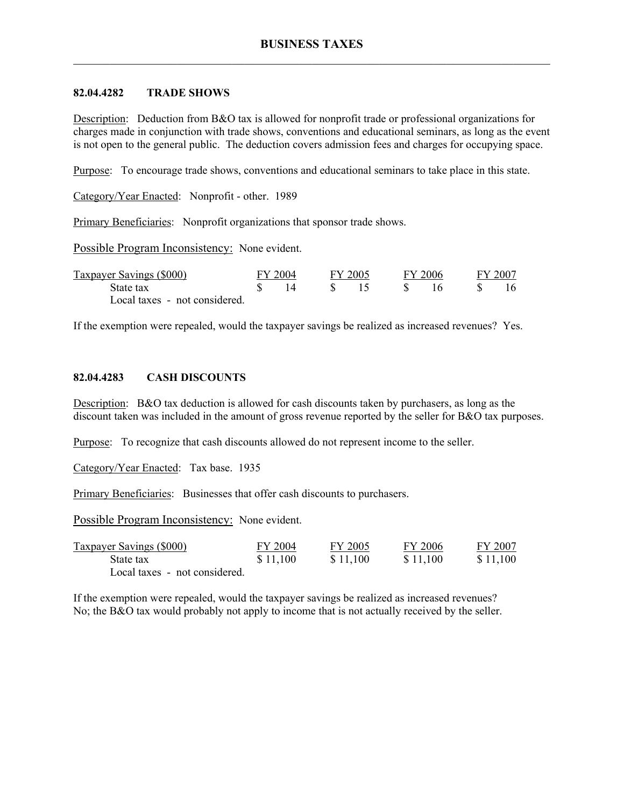### **82.04.4282 TRADE SHOWS**

Description: Deduction from B&O tax is allowed for nonprofit trade or professional organizations for charges made in conjunction with trade shows, conventions and educational seminars, as long as the event is not open to the general public. The deduction covers admission fees and charges for occupying space.

Purpose: To encourage trade shows, conventions and educational seminars to take place in this state.

Category/Year Enacted: Nonprofit - other. 1989

Primary Beneficiaries: Nonprofit organizations that sponsor trade shows.

Possible Program Inconsistency: None evident.

| Taxpayer Savings (\$000)      | FY 2004 | FY 2005 | FY 2006 | FY 2007 |
|-------------------------------|---------|---------|---------|---------|
| State tax                     |         |         | 16      | 16      |
| Local taxes - not considered. |         |         |         |         |

If the exemption were repealed, would the taxpayer savings be realized as increased revenues? Yes.

#### **82.04.4283 CASH DISCOUNTS**

Description: B&O tax deduction is allowed for cash discounts taken by purchasers, as long as the discount taken was included in the amount of gross revenue reported by the seller for B&O tax purposes.

Purpose: To recognize that cash discounts allowed do not represent income to the seller.

Category/Year Enacted: Tax base. 1935

Primary Beneficiaries: Businesses that offer cash discounts to purchasers.

Possible Program Inconsistency: None evident.

| <b>Taxpayer Savings (\$000)</b> | FY 2004  | FY 2005  | FY 2006  | FY 2007  |
|---------------------------------|----------|----------|----------|----------|
| State tax                       | \$11,100 | \$11,100 | \$11.100 | \$11,100 |
| Local taxes - not considered.   |          |          |          |          |

If the exemption were repealed, would the taxpayer savings be realized as increased revenues? No; the B&O tax would probably not apply to income that is not actually received by the seller.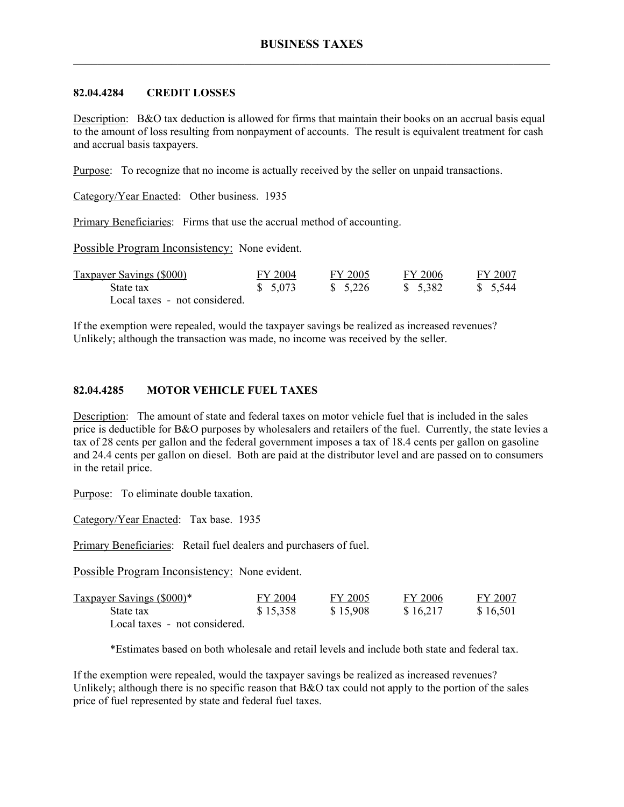### **82.04.4284 CREDIT LOSSES**

Description: B&O tax deduction is allowed for firms that maintain their books on an accrual basis equal to the amount of loss resulting from nonpayment of accounts. The result is equivalent treatment for cash and accrual basis taxpayers.

Purpose: To recognize that no income is actually received by the seller on unpaid transactions.

Category/Year Enacted: Other business. 1935

Primary Beneficiaries: Firms that use the accrual method of accounting.

Possible Program Inconsistency: None evident.

| Taxpayer Savings (\$000)      | FY 2004  | FY 2005  | FY 2006  | FY 2007  |
|-------------------------------|----------|----------|----------|----------|
| State tax                     | \$ 5,073 | \$ 5.226 | \$ 5.382 | \$ 5.544 |
| Local taxes - not considered. |          |          |          |          |

If the exemption were repealed, would the taxpayer savings be realized as increased revenues? Unlikely; although the transaction was made, no income was received by the seller.

### **82.04.4285 MOTOR VEHICLE FUEL TAXES**

Description: The amount of state and federal taxes on motor vehicle fuel that is included in the sales price is deductible for B&O purposes by wholesalers and retailers of the fuel. Currently, the state levies a tax of 28 cents per gallon and the federal government imposes a tax of 18.4 cents per gallon on gasoline and 24.4 cents per gallon on diesel. Both are paid at the distributor level and are passed on to consumers in the retail price.

Purpose: To eliminate double taxation.

Category/Year Enacted: Tax base. 1935

Primary Beneficiaries: Retail fuel dealers and purchasers of fuel.

Possible Program Inconsistency: None evident.

| Taxpayer Savings (\$000)*     | FY 2004  | FY 2005  | FY 2006  | FY 2007  |
|-------------------------------|----------|----------|----------|----------|
| State tax                     | \$15,358 | \$15,908 | \$16,217 | \$16,501 |
| Local taxes - not considered. |          |          |          |          |

\*Estimates based on both wholesale and retail levels and include both state and federal tax.

If the exemption were repealed, would the taxpayer savings be realized as increased revenues? Unlikely; although there is no specific reason that B&O tax could not apply to the portion of the sales price of fuel represented by state and federal fuel taxes.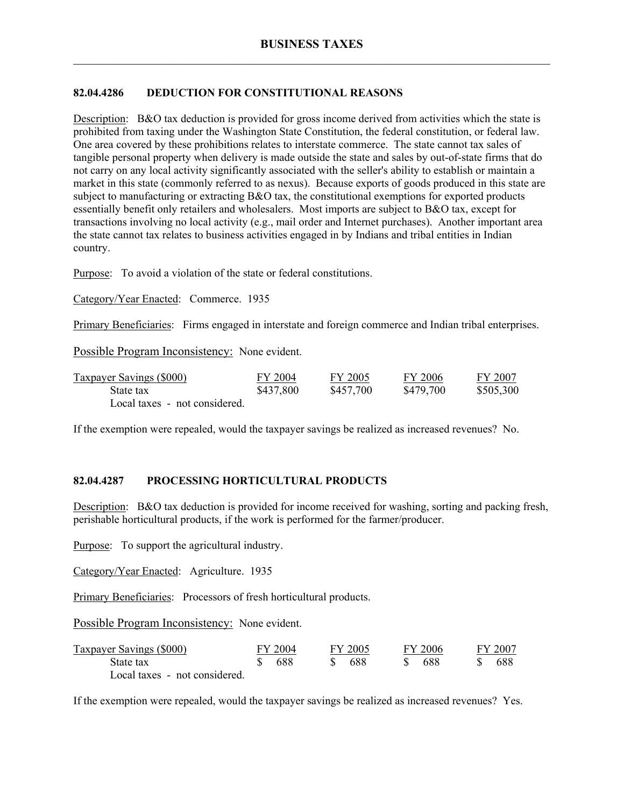# **82.04.4286 DEDUCTION FOR CONSTITUTIONAL REASONS**

Description: B&O tax deduction is provided for gross income derived from activities which the state is prohibited from taxing under the Washington State Constitution, the federal constitution, or federal law. One area covered by these prohibitions relates to interstate commerce. The state cannot tax sales of tangible personal property when delivery is made outside the state and sales by out-of-state firms that do not carry on any local activity significantly associated with the seller's ability to establish or maintain a market in this state (commonly referred to as nexus). Because exports of goods produced in this state are subject to manufacturing or extracting B&O tax, the constitutional exemptions for exported products essentially benefit only retailers and wholesalers. Most imports are subject to B&O tax, except for transactions involving no local activity (e.g., mail order and Internet purchases). Another important area the state cannot tax relates to business activities engaged in by Indians and tribal entities in Indian country.

Purpose: To avoid a violation of the state or federal constitutions.

Category/Year Enacted: Commerce. 1935

Primary Beneficiaries: Firms engaged in interstate and foreign commerce and Indian tribal enterprises.

Possible Program Inconsistency: None evident.

| <b>Taxpayer Savings (\$000)</b> | FY 2004   | FY 2005   | FY 2006   | FY 2007   |
|---------------------------------|-----------|-----------|-----------|-----------|
| State tax                       | \$437,800 | \$457,700 | \$479,700 | \$505,300 |
| Local taxes - not considered.   |           |           |           |           |

If the exemption were repealed, would the taxpayer savings be realized as increased revenues? No.

#### **82.04.4287 PROCESSING HORTICULTURAL PRODUCTS**

Description: B&O tax deduction is provided for income received for washing, sorting and packing fresh, perishable horticultural products, if the work is performed for the farmer/producer.

Purpose: To support the agricultural industry.

Category/Year Enacted: Agriculture. 1935

Primary Beneficiaries: Processors of fresh horticultural products.

Possible Program Inconsistency: None evident.

| <b>Taxpayer Savings (\$000)</b> | FY 2004 |               | FY 2005 | <b>FY 2006</b> |  | FY 2007 |
|---------------------------------|---------|---------------|---------|----------------|--|---------|
| State tax                       | 688     | $\mathcal{S}$ | -688    | -688           |  | -688    |
| Local taxes - not considered.   |         |               |         |                |  |         |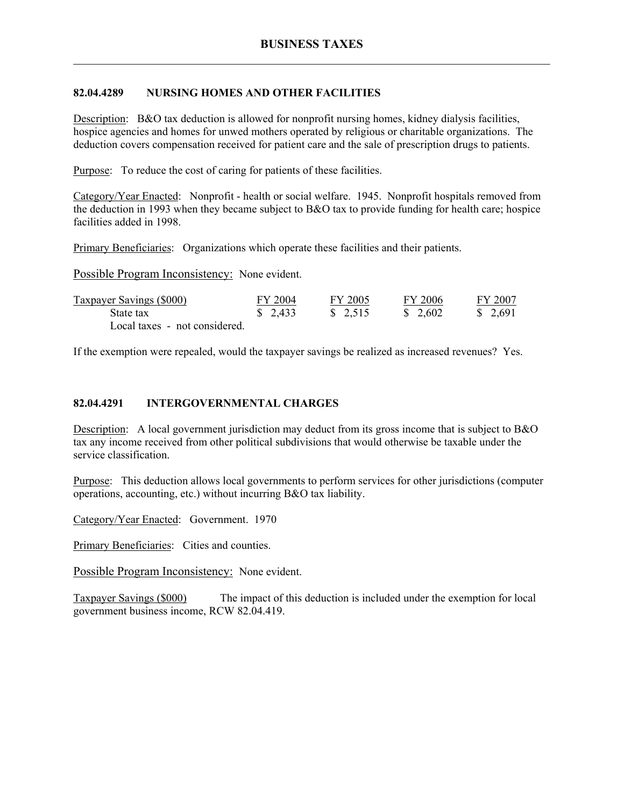### **82.04.4289 NURSING HOMES AND OTHER FACILITIES**

Description: B&O tax deduction is allowed for nonprofit nursing homes, kidney dialysis facilities, hospice agencies and homes for unwed mothers operated by religious or charitable organizations. The deduction covers compensation received for patient care and the sale of prescription drugs to patients.

Purpose: To reduce the cost of caring for patients of these facilities.

Category/Year Enacted: Nonprofit - health or social welfare. 1945. Nonprofit hospitals removed from the deduction in 1993 when they became subject to B&O tax to provide funding for health care; hospice facilities added in 1998.

Primary Beneficiaries: Organizations which operate these facilities and their patients.

Possible Program Inconsistency: None evident.

| <b>Taxpayer Savings (\$000)</b> | FY 2004                | FY 2005  | FY 2006  | FY 2007  |
|---------------------------------|------------------------|----------|----------|----------|
| State tax                       | $\frac{1}{2}$ , 2, 433 | \$ 2.515 | \$ 2.602 | \$ 2.691 |
| Local taxes - not considered.   |                        |          |          |          |

If the exemption were repealed, would the taxpayer savings be realized as increased revenues? Yes.

#### **82.04.4291 INTERGOVERNMENTAL CHARGES**

Description: A local government jurisdiction may deduct from its gross income that is subject to B&O tax any income received from other political subdivisions that would otherwise be taxable under the service classification.

Purpose: This deduction allows local governments to perform services for other jurisdictions (computer operations, accounting, etc.) without incurring B&O tax liability.

Category/Year Enacted: Government. 1970

Primary Beneficiaries: Cities and counties.

Possible Program Inconsistency: None evident.

Taxpayer Savings (\$000) The impact of this deduction is included under the exemption for local government business income, RCW 82.04.419.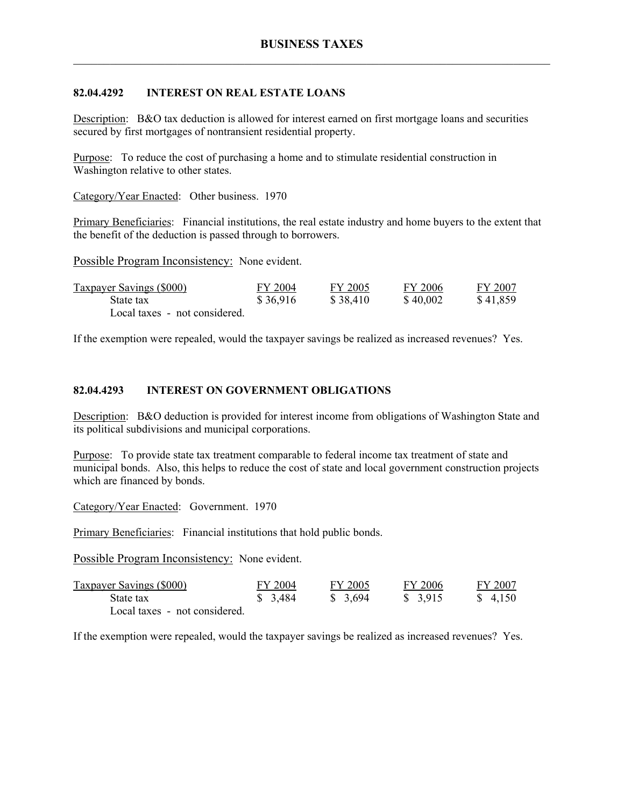# **82.04.4292 INTEREST ON REAL ESTATE LOANS**

Description: B&O tax deduction is allowed for interest earned on first mortgage loans and securities secured by first mortgages of nontransient residential property.

Purpose: To reduce the cost of purchasing a home and to stimulate residential construction in Washington relative to other states.

Category/Year Enacted: Other business. 1970

Primary Beneficiaries: Financial institutions, the real estate industry and home buyers to the extent that the benefit of the deduction is passed through to borrowers.

Possible Program Inconsistency: None evident.

| <b>Taxpayer Savings (\$000)</b> | FY 2004  | FY 2005  | FY 2006  | FY 2007  |
|---------------------------------|----------|----------|----------|----------|
| State tax                       | \$36,916 | \$38,410 | \$40,002 | \$41,859 |
| Local taxes - not considered.   |          |          |          |          |

If the exemption were repealed, would the taxpayer savings be realized as increased revenues? Yes.

### **82.04.4293 INTEREST ON GOVERNMENT OBLIGATIONS**

Description: B&O deduction is provided for interest income from obligations of Washington State and its political subdivisions and municipal corporations.

Purpose: To provide state tax treatment comparable to federal income tax treatment of state and municipal bonds. Also, this helps to reduce the cost of state and local government construction projects which are financed by bonds.

Category/Year Enacted: Government. 1970

Primary Beneficiaries: Financial institutions that hold public bonds.

Possible Program Inconsistency: None evident.

| Taxpayer Savings (\$000)      | FY 2004  | FY 2005 | FY 2006  | FY 2007 |
|-------------------------------|----------|---------|----------|---------|
| State tax                     | \$ 3,484 | \$3,694 | \$ 3.915 | \$4,150 |
| Local taxes - not considered. |          |         |          |         |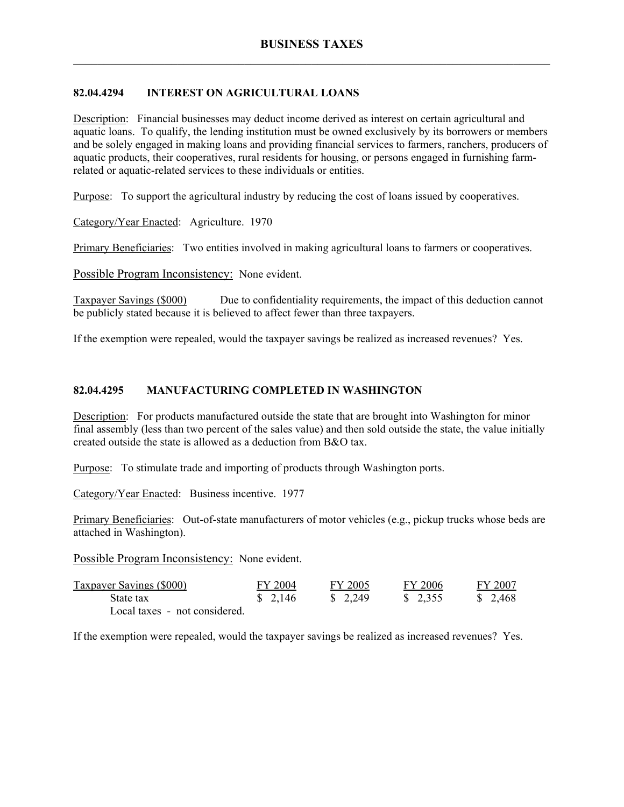# **82.04.4294 INTEREST ON AGRICULTURAL LOANS**

Description: Financial businesses may deduct income derived as interest on certain agricultural and aquatic loans. To qualify, the lending institution must be owned exclusively by its borrowers or members and be solely engaged in making loans and providing financial services to farmers, ranchers, producers of aquatic products, their cooperatives, rural residents for housing, or persons engaged in furnishing farmrelated or aquatic-related services to these individuals or entities.

Purpose: To support the agricultural industry by reducing the cost of loans issued by cooperatives.

Category/Year Enacted: Agriculture. 1970

Primary Beneficiaries: Two entities involved in making agricultural loans to farmers or cooperatives.

Possible Program Inconsistency: None evident.

Taxpayer Savings (\$000) Due to confidentiality requirements, the impact of this deduction cannot be publicly stated because it is believed to affect fewer than three taxpayers.

If the exemption were repealed, would the taxpayer savings be realized as increased revenues? Yes.

### **82.04.4295 MANUFACTURING COMPLETED IN WASHINGTON**

Description: For products manufactured outside the state that are brought into Washington for minor final assembly (less than two percent of the sales value) and then sold outside the state, the value initially created outside the state is allowed as a deduction from B&O tax.

Purpose: To stimulate trade and importing of products through Washington ports.

Category/Year Enacted: Business incentive. 1977

Primary Beneficiaries: Out-of-state manufacturers of motor vehicles (e.g., pickup trucks whose beds are attached in Washington).

Possible Program Inconsistency: None evident.

| <b>Taxpayer Savings (\$000)</b> | FY 2004                | FY 2005                | FY 2006  | FY 2007  |
|---------------------------------|------------------------|------------------------|----------|----------|
| State tax                       | $\frac{1}{2}$ , 2, 146 | $\frac{1}{2}$ , 2, 249 | \$ 2.355 | \$ 2.468 |
| Local taxes - not considered.   |                        |                        |          |          |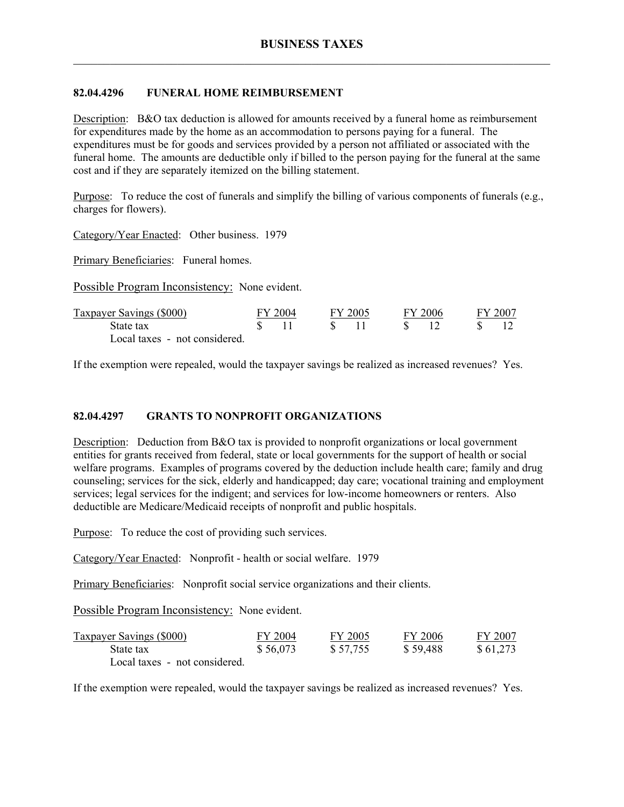## **82.04.4296 FUNERAL HOME REIMBURSEMENT**

Description: B&O tax deduction is allowed for amounts received by a funeral home as reimbursement for expenditures made by the home as an accommodation to persons paying for a funeral. The expenditures must be for goods and services provided by a person not affiliated or associated with the funeral home. The amounts are deductible only if billed to the person paying for the funeral at the same cost and if they are separately itemized on the billing statement.

Purpose: To reduce the cost of funerals and simplify the billing of various components of funerals (e.g., charges for flowers).

Category/Year Enacted: Other business. 1979

Primary Beneficiaries: Funeral homes.

Possible Program Inconsistency: None evident.

| Taxpayer Savings (\$000)      | FY 2004 | FY 2005 |      | FY 2006 | FY 2007 |
|-------------------------------|---------|---------|------|---------|---------|
| State tax                     |         |         | S 12 |         |         |
| Local taxes - not considered. |         |         |      |         |         |

If the exemption were repealed, would the taxpayer savings be realized as increased revenues? Yes.

#### **82.04.4297 GRANTS TO NONPROFIT ORGANIZATIONS**

Description: Deduction from B&O tax is provided to nonprofit organizations or local government entities for grants received from federal, state or local governments for the support of health or social welfare programs. Examples of programs covered by the deduction include health care; family and drug counseling; services for the sick, elderly and handicapped; day care; vocational training and employment services; legal services for the indigent; and services for low-income homeowners or renters. Also deductible are Medicare/Medicaid receipts of nonprofit and public hospitals.

Purpose: To reduce the cost of providing such services.

Category/Year Enacted: Nonprofit - health or social welfare. 1979

Primary Beneficiaries: Nonprofit social service organizations and their clients.

Possible Program Inconsistency: None evident.

| <b>Taxpayer Savings (\$000)</b> | FY 2004  | FY 2005  | FY 2006  | FY 2007  |
|---------------------------------|----------|----------|----------|----------|
| State tax                       | \$56,073 | \$57,755 | \$59,488 | \$61,273 |
| Local taxes - not considered.   |          |          |          |          |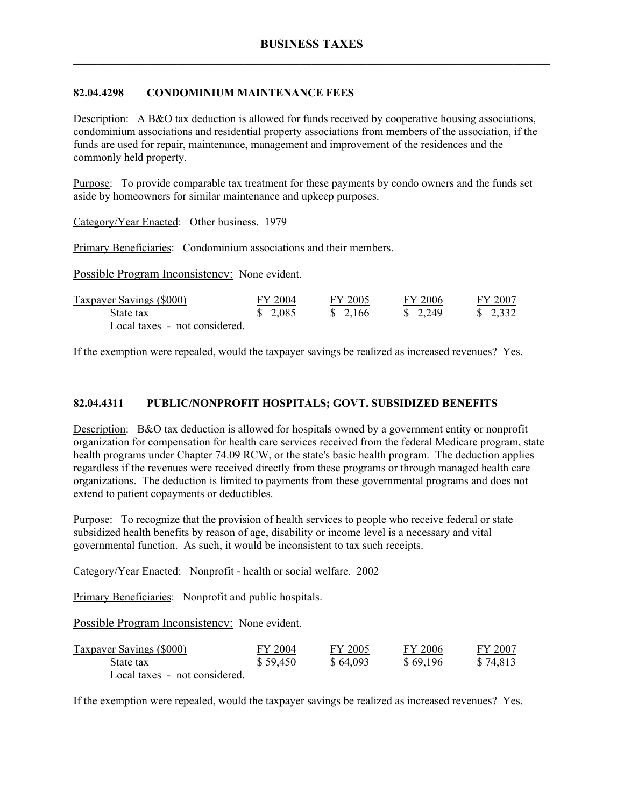### **82.04.4298 CONDOMINIUM MAINTENANCE FEES**

Description: A B&O tax deduction is allowed for funds received by cooperative housing associations, condominium associations and residential property associations from members of the association, if the funds are used for repair, maintenance, management and improvement of the residences and the commonly held property.

Purpose: To provide comparable tax treatment for these payments by condo owners and the funds set aside by homeowners for similar maintenance and upkeep purposes.

Category/Year Enacted: Other business. 1979

Primary Beneficiaries: Condominium associations and their members.

Possible Program Inconsistency: None evident.

| <b>Taxpayer Savings (\$000)</b> | FY 2004  | FY 2005  | FY 2006                | FY 2007               |
|---------------------------------|----------|----------|------------------------|-----------------------|
| State tax                       | \$ 2,085 | \$ 2.166 | $\frac{1}{2}$ , 2, 249 | $\frac{1}{2}$ , 2,332 |
| Local taxes - not considered.   |          |          |                        |                       |

If the exemption were repealed, would the taxpayer savings be realized as increased revenues? Yes.

#### **82.04.4311 PUBLIC/NONPROFIT HOSPITALS; GOVT. SUBSIDIZED BENEFITS**

Description: B&O tax deduction is allowed for hospitals owned by a government entity or nonprofit organization for compensation for health care services received from the federal Medicare program, state health programs under Chapter 74.09 RCW, or the state's basic health program. The deduction applies regardless if the revenues were received directly from these programs or through managed health care organizations. The deduction is limited to payments from these governmental programs and does not extend to patient copayments or deductibles.

Purpose: To recognize that the provision of health services to people who receive federal or state subsidized health benefits by reason of age, disability or income level is a necessary and vital governmental function. As such, it would be inconsistent to tax such receipts.

Category/Year Enacted: Nonprofit - health or social welfare. 2002

Primary Beneficiaries: Nonprofit and public hospitals.

Possible Program Inconsistency: None evident.

| <b>Taxpayer Savings (\$000)</b> | FY 2004  | FY 2005  | FY 2006  | FY 2007  |
|---------------------------------|----------|----------|----------|----------|
| State tax                       | \$59,450 | \$64,093 | \$69,196 | \$74,813 |
| Local taxes - not considered.   |          |          |          |          |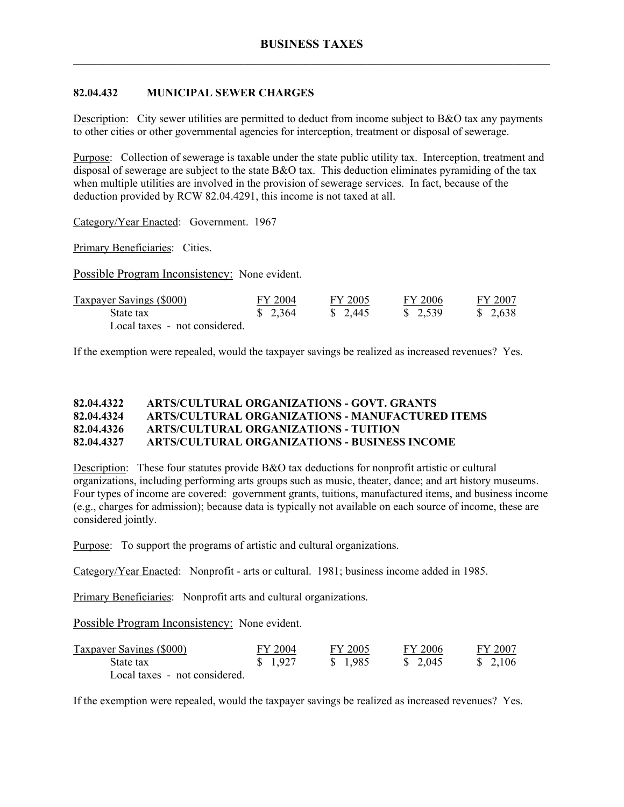## **82.04.432 MUNICIPAL SEWER CHARGES**

Description: City sewer utilities are permitted to deduct from income subject to B&O tax any payments to other cities or other governmental agencies for interception, treatment or disposal of sewerage.

Purpose: Collection of sewerage is taxable under the state public utility tax. Interception, treatment and disposal of sewerage are subject to the state B&O tax. This deduction eliminates pyramiding of the tax when multiple utilities are involved in the provision of sewerage services. In fact, because of the deduction provided by RCW 82.04.4291, this income is not taxed at all.

Category/Year Enacted: Government. 1967

Primary Beneficiaries: Cities.

Possible Program Inconsistency: None evident.

| <b>Taxpayer Savings (\$000)</b> | FY 2004 | FY 2005  | FY 2006  | FY 2007  |
|---------------------------------|---------|----------|----------|----------|
| State tax                       | \$2,364 | \$ 2.445 | \$ 2,539 | \$ 2.638 |
| Local taxes - not considered.   |         |          |          |          |

If the exemption were repealed, would the taxpayer savings be realized as increased revenues? Yes.

#### **82.04.4322 ARTS/CULTURAL ORGANIZATIONS - GOVT. GRANTS 82.04.4324 ARTS/CULTURAL ORGANIZATIONS - MANUFACTURED ITEMS 82.04.4326 ARTS/CULTURAL ORGANIZATIONS - TUITION 82.04.4327 ARTS/CULTURAL ORGANIZATIONS - BUSINESS INCOME**

Description: These four statutes provide B&O tax deductions for nonprofit artistic or cultural organizations, including performing arts groups such as music, theater, dance; and art history museums. Four types of income are covered: government grants, tuitions, manufactured items, and business income (e.g., charges for admission); because data is typically not available on each source of income, these are considered jointly.

Purpose: To support the programs of artistic and cultural organizations.

Category/Year Enacted: Nonprofit - arts or cultural. 1981; business income added in 1985.

Primary Beneficiaries: Nonprofit arts and cultural organizations.

Possible Program Inconsistency: None evident.

| <b>Taxpayer Savings (\$000)</b> | FY 2004  | FY 2005  | FY 2006  | FY 2007            |
|---------------------------------|----------|----------|----------|--------------------|
| State tax                       | \$ 1.927 | \$ 1.985 | \$ 2.045 | $\frac{\$}{2,106}$ |
| Local taxes - not considered.   |          |          |          |                    |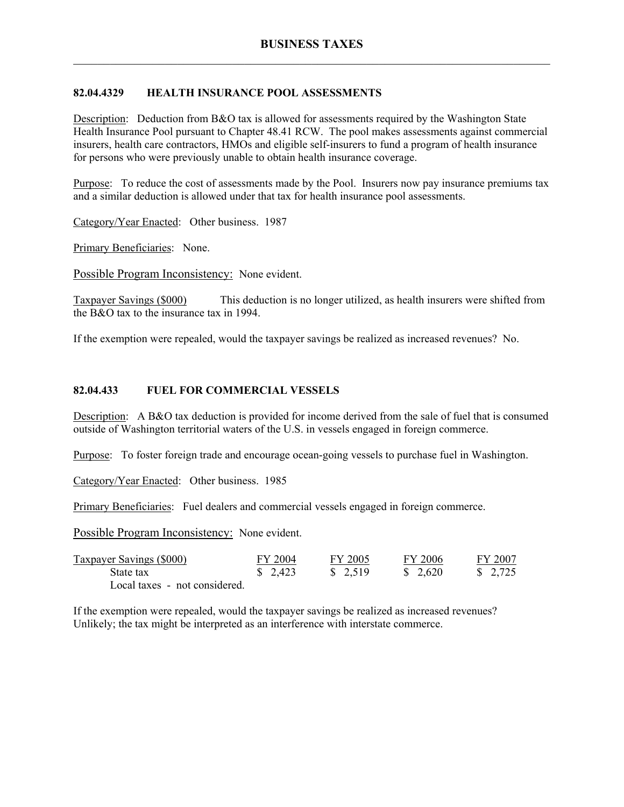## **82.04.4329 HEALTH INSURANCE POOL ASSESSMENTS**

Description: Deduction from B&O tax is allowed for assessments required by the Washington State Health Insurance Pool pursuant to Chapter 48.41 RCW. The pool makes assessments against commercial insurers, health care contractors, HMOs and eligible self-insurers to fund a program of health insurance for persons who were previously unable to obtain health insurance coverage.

Purpose: To reduce the cost of assessments made by the Pool. Insurers now pay insurance premiums tax and a similar deduction is allowed under that tax for health insurance pool assessments.

Category/Year Enacted: Other business. 1987

Primary Beneficiaries: None.

Possible Program Inconsistency: None evident.

Taxpayer Savings (\$000) This deduction is no longer utilized, as health insurers were shifted from the B&O tax to the insurance tax in 1994.

If the exemption were repealed, would the taxpayer savings be realized as increased revenues? No.

#### **82.04.433 FUEL FOR COMMERCIAL VESSELS**

Description: A B&O tax deduction is provided for income derived from the sale of fuel that is consumed outside of Washington territorial waters of the U.S. in vessels engaged in foreign commerce.

Purpose: To foster foreign trade and encourage ocean-going vessels to purchase fuel in Washington.

Category/Year Enacted: Other business. 1985

Primary Beneficiaries: Fuel dealers and commercial vessels engaged in foreign commerce.

Possible Program Inconsistency: None evident.

| Taxpayer Savings (\$000)      | FY 2004 | FY 2005 | FY 2006  | FY 2007                |
|-------------------------------|---------|---------|----------|------------------------|
| State tax                     | \$2,423 | \$2,519 | \$ 2,620 | $\frac{1}{2}$ , 2, 725 |
| Local taxes - not considered. |         |         |          |                        |

If the exemption were repealed, would the taxpayer savings be realized as increased revenues? Unlikely; the tax might be interpreted as an interference with interstate commerce.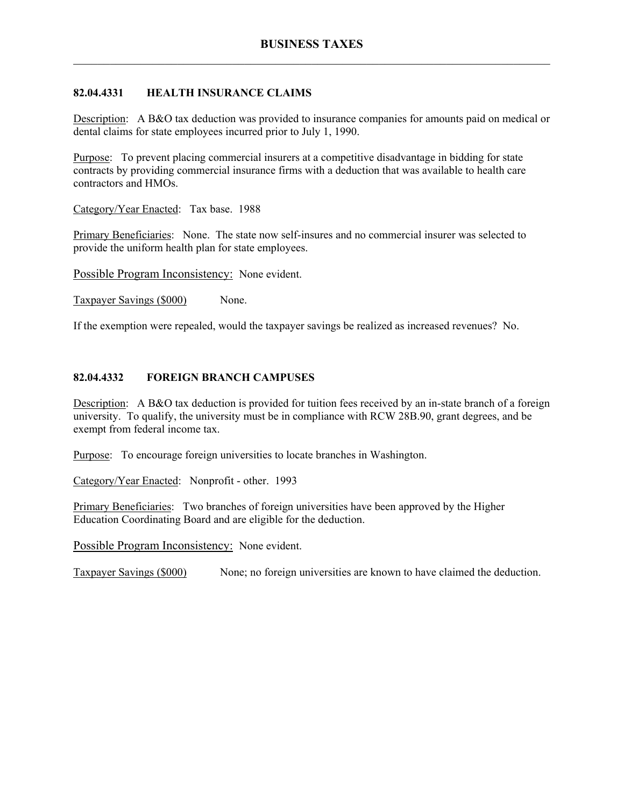## **82.04.4331 HEALTH INSURANCE CLAIMS**

Description: A B&O tax deduction was provided to insurance companies for amounts paid on medical or dental claims for state employees incurred prior to July 1, 1990.

Purpose: To prevent placing commercial insurers at a competitive disadvantage in bidding for state contracts by providing commercial insurance firms with a deduction that was available to health care contractors and HMOs.

Category/Year Enacted: Tax base. 1988

Primary Beneficiaries: None. The state now self-insures and no commercial insurer was selected to provide the uniform health plan for state employees.

Possible Program Inconsistency: None evident.

Taxpayer Savings (\$000) None.

If the exemption were repealed, would the taxpayer savings be realized as increased revenues? No.

# **82.04.4332 FOREIGN BRANCH CAMPUSES**

Description: A B&O tax deduction is provided for tuition fees received by an in-state branch of a foreign university. To qualify, the university must be in compliance with RCW 28B.90, grant degrees, and be exempt from federal income tax.

Purpose: To encourage foreign universities to locate branches in Washington.

Category/Year Enacted: Nonprofit - other. 1993

Primary Beneficiaries: Two branches of foreign universities have been approved by the Higher Education Coordinating Board and are eligible for the deduction.

Possible Program Inconsistency: None evident.

Taxpayer Savings (\$000) None; no foreign universities are known to have claimed the deduction.